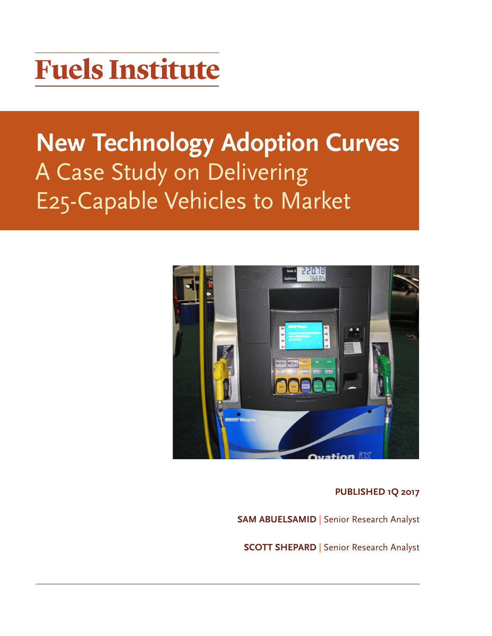# **Fuels Institute**

## **New Technology Adoption Curves**  A Case Study on Delivering E25-Capable Vehicles to Market



**PUBLISHED 1Q 2017** 

**SAM ABUELSAMID | Senior Research Analyst** 

**SCOTT SHEPARD** | Senior Research Analyst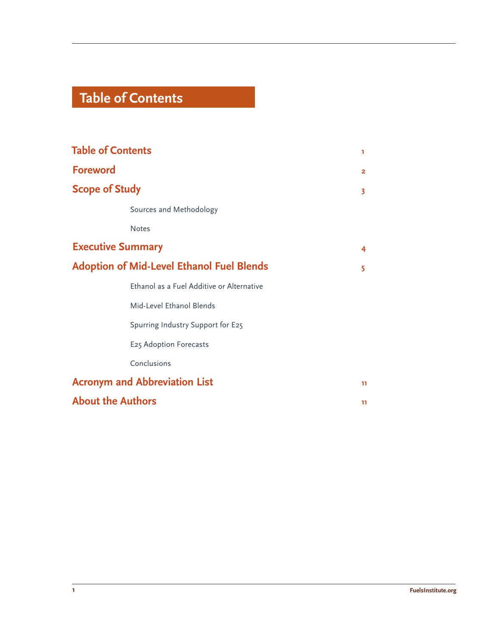## **Table of Contents**

| <b>Table of Contents</b>                         | ٦              |
|--------------------------------------------------|----------------|
| <b>Foreword</b>                                  | $\overline{2}$ |
| <b>Scope of Study</b>                            | 3              |
| Sources and Methodology                          |                |
| <b>Notes</b>                                     |                |
| <b>Executive Summary</b>                         | 4              |
| <b>Adoption of Mid-Level Ethanol Fuel Blends</b> | 5              |
| Ethanol as a Fuel Additive or Alternative        |                |
| Mid-Level Ethanol Blends                         |                |
| Spurring Industry Support for E25                |                |
| E25 Adoption Forecasts                           |                |
| Conclusions                                      |                |
| <b>Acronym and Abbreviation List</b>             | 11             |
| <b>About the Authors</b>                         | 11.            |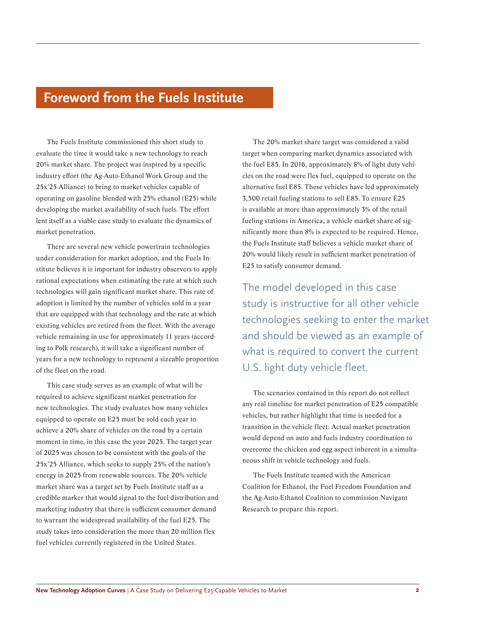### **Foreword from the Fuels Institute**

The Fuels Institute commissioned this short study to evaluate the time it would take a new technology to reach 20% market share. The project was inspired by a specific industry effort (the Ag-Auto-Ethanol Work Group and the 25x'25 Alliance) to bring to market vehicles capable of operating on gasoline blended with 25% ethanol (E25) while developing the market availability of such fuels. The effort lent itself as a viable case study to evaluate the dynamics of market penetration.

There are several new vehicle powertrain technologies under consideration for market adoption, and the Fuels Institute believes it is important for industry observers to apply rational expectations when estimating the rate at which such technologies will gain significant market share. This rate of adoption is limited by the number of vehicles sold in a year that are equipped with that technology and the rate at which existing vehicles are retired from the fleet. With the average vehicle remaining in use for approximately 11 years (according to Polk research), it will take a significant number of years for a new technology to represent a sizeable proportion of the fleet on the road.

This case study serves as an example of what will be required to achieve significant market penetration for new technologies. The study evaluates how many vehicles equipped to operate on E25 must be sold each year to achieve a 20% share of vehicles on the road by a certain moment in time, in this case the year 2025. The target year of 2025 was chosen to be consistent with the goals of the 25x'25 Alliance, which seeks to supply 25% of the nation's energy in 2025 from renewable sources. The 20% vehicle market share was a target set by Fuels Institute staff as a credible marker that would signal to the fuel distribution and marketing industry that there is sufficient consumer demand to warrant the widespread availability of the fuel E25. The study takes into consideration the more than 20 million flex fuel vehicles currently registered in the United States.

The 20% market share target was considered a valid target when comparing market dynamics associated with the fuel E85. In 2016, approximately 8% of light duty vehicles on the road were flex fuel, equipped to operate on the alternative fuel E85. These vehicles have led approximately 3,500 retail fueling stations to sell E85. To ensure E25 is available at more than approximately 3% of the retail fueling stations in America, a vehicle market share of significantly more than 8% is expected to be required. Hence, the Fuels Institute staff believes a vehicle market share of 20% would likely result in sufficient market penetration of E25 to satisfy consumer demand.

The model developed in this case study is instructive for all other vehicle technologies seeking to enter the market and should be viewed as an example of what is required to convert the current U.S. light duty vehicle fleet.

The scenarios contained in this report do not reflect any real timeline for market penetration of E25 compatible vehicles, but rather highlight that time is needed for a transition in the vehicle fleet. Actual market penetration would depend on auto and fuels industry coordination to overcome the chicken and egg aspect inherent in a simultaneous shift in vehicle technology and fuels.

The Fuels Institute teamed with the American Coalition for Ethanol, the Fuel Freedom Foundation and the Ag-Auto-Ethanol Coalition to commission Navigant Research to prepare this report.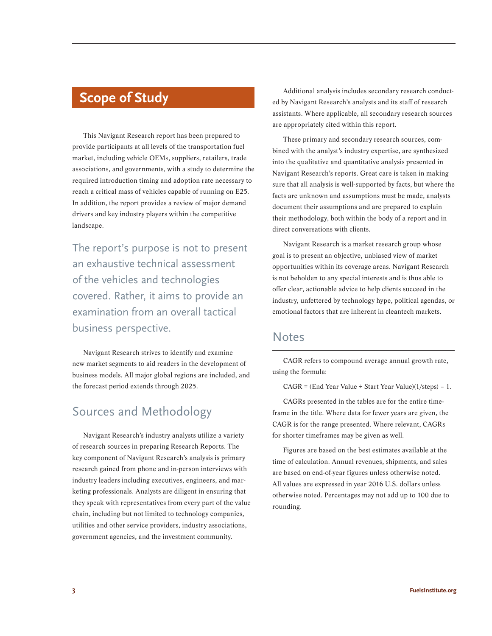## **Scope of Study**

This Navigant Research report has been prepared to provide participants at all levels of the transportation fuel market, including vehicle OEMs, suppliers, retailers, trade associations, and governments, with a study to determine the required introduction timing and adoption rate necessary to reach a critical mass of vehicles capable of running on E25. In addition, the report provides a review of major demand drivers and key industry players within the competitive landscape.

The report's purpose is not to present an exhaustive technical assessment of the vehicles and technologies covered. Rather, it aims to provide an examination from an overall tactical business perspective.

Navigant Research strives to identify and examine new market segments to aid readers in the development of business models. All major global regions are included, and the forecast period extends through 2025.

#### Sources and Methodology

Navigant Research's industry analysts utilize a variety of research sources in preparing Research Reports. The key component of Navigant Research's analysis is primary research gained from phone and in-person interviews with industry leaders including executives, engineers, and marketing professionals. Analysts are diligent in ensuring that they speak with representatives from every part of the value chain, including but not limited to technology companies, utilities and other service providers, industry associations, government agencies, and the investment community.

Additional analysis includes secondary research conducted by Navigant Research's analysts and its staff of research assistants. Where applicable, all secondary research sources are appropriately cited within this report.

These primary and secondary research sources, combined with the analyst's industry expertise, are synthesized into the qualitative and quantitative analysis presented in Navigant Research's reports. Great care is taken in making sure that all analysis is well-supported by facts, but where the facts are unknown and assumptions must be made, analysts document their assumptions and are prepared to explain their methodology, both within the body of a report and in direct conversations with clients.

Navigant Research is a market research group whose goal is to present an objective, unbiased view of market opportunities within its coverage areas. Navigant Research is not beholden to any special interests and is thus able to offer clear, actionable advice to help clients succeed in the industry, unfettered by technology hype, political agendas, or emotional factors that are inherent in cleantech markets.

#### **Notes**

CAGR refers to compound average annual growth rate, using the formula:

 $CAGR = (End Year Value \div Start Year Value)(1/steps) - 1.$ 

CAGRs presented in the tables are for the entire timeframe in the title. Where data for fewer years are given, the CAGR is for the range presented. Where relevant, CAGRs for shorter timeframes may be given as well.

Figures are based on the best estimates available at the time of calculation. Annual revenues, shipments, and sales are based on end-of-year figures unless otherwise noted. All values are expressed in year 2016 U.S. dollars unless otherwise noted. Percentages may not add up to 100 due to rounding.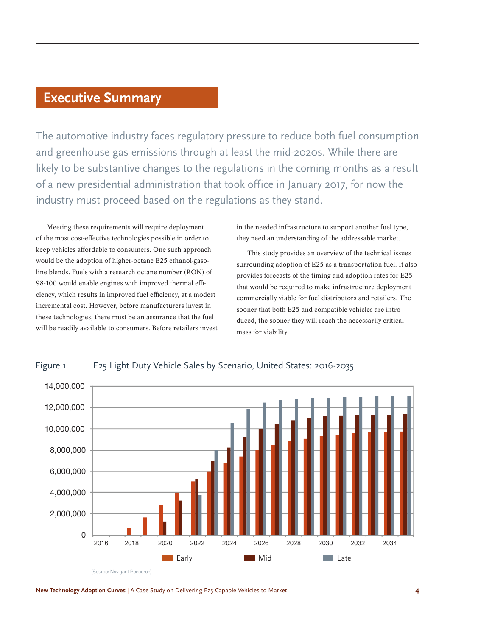### **Executive Summary**

The automotive industry faces regulatory pressure to reduce both fuel consumption and greenhouse gas emissions through at least the mid-2020s. While there are likely to be substantive changes to the regulations in the coming months as a result of a new presidential administration that took office in January 2017, for now the industry must proceed based on the regulations as they stand.

Meeting these requirements will require deployment of the most cost-effective technologies possible in order to keep vehicles affordable to consumers. One such approach would be the adoption of higher-octane E25 ethanol-gasoline blends. Fuels with a research octane number (RON) of 98-100 would enable engines with improved thermal efficiency, which results in improved fuel efficiency, at a modest incremental cost. However, before manufacturers invest in these technologies, there must be an assurance that the fuel will be readily available to consumers. Before retailers invest in the needed infrastructure to support another fuel type, they need an understanding of the addressable market.

This study provides an overview of the technical issues surrounding adoption of E25 as a transportation fuel. It also provides forecasts of the timing and adoption rates for E25 that would be required to make infrastructure deployment commercially viable for fuel distributors and retailers. The sooner that both E25 and compatible vehicles are introduced, the sooner they will reach the necessarily critical mass for viability.



#### Figure 1 E25 Light Duty Vehicle Sales by Scenario, United States: 2016-2035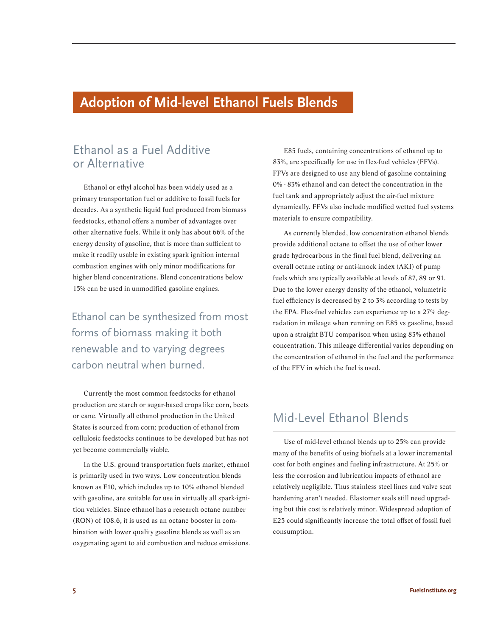## **Adoption of Mid-level Ethanol Fuels Blends**

#### Ethanol as a Fuel Additive or Alternative

Ethanol or ethyl alcohol has been widely used as a primary transportation fuel or additive to fossil fuels for decades. As a synthetic liquid fuel produced from biomass feedstocks, ethanol offers a number of advantages over other alternative fuels. While it only has about 66% of the energy density of gasoline, that is more than sufficient to make it readily usable in existing spark ignition internal combustion engines with only minor modifications for higher blend concentrations. Blend concentrations below 15% can be used in unmodified gasoline engines.

Ethanol can be synthesized from most forms of biomass making it both renewable and to varying degrees carbon neutral when burned.

Currently the most common feedstocks for ethanol production are starch or sugar-based crops like corn, beets or cane. Virtually all ethanol production in the United States is sourced from corn; production of ethanol from cellulosic feedstocks continues to be developed but has not yet become commercially viable.

In the U.S. ground transportation fuels market, ethanol is primarily used in two ways. Low concentration blends known as E10, which includes up to 10% ethanol blended with gasoline, are suitable for use in virtually all spark-ignition vehicles. Since ethanol has a research octane number (RON) of 108.6, it is used as an octane booster in combination with lower quality gasoline blends as well as an oxygenating agent to aid combustion and reduce emissions.

E85 fuels, containing concentrations of ethanol up to 83%, are specifically for use in flex-fuel vehicles (FFVs). FFVs are designed to use any blend of gasoline containing 0% - 83% ethanol and can detect the concentration in the fuel tank and appropriately adjust the air-fuel mixture dynamically. FFVs also include modified wetted fuel systems materials to ensure compatibility.

As currently blended, low concentration ethanol blends provide additional octane to offset the use of other lower grade hydrocarbons in the final fuel blend, delivering an overall octane rating or anti-knock index (AKI) of pump fuels which are typically available at levels of 87, 89 or 91. Due to the lower energy density of the ethanol, volumetric fuel efficiency is decreased by 2 to 3% according to tests by the EPA. Flex-fuel vehicles can experience up to a 27% degradation in mileage when running on E85 vs gasoline, based upon a straight BTU comparison when using 83% ethanol concentration. This mileage differential varies depending on the concentration of ethanol in the fuel and the performance of the FFV in which the fuel is used.

#### Mid-Level Ethanol Blends

Use of mid-level ethanol blends up to 25% can provide many of the benefits of using biofuels at a lower incremental cost for both engines and fueling infrastructure. At 25% or less the corrosion and lubrication impacts of ethanol are relatively negligible. Thus stainless steel lines and valve seat hardening aren't needed. Elastomer seals still need upgrading but this cost is relatively minor. Widespread adoption of E25 could significantly increase the total offset of fossil fuel consumption.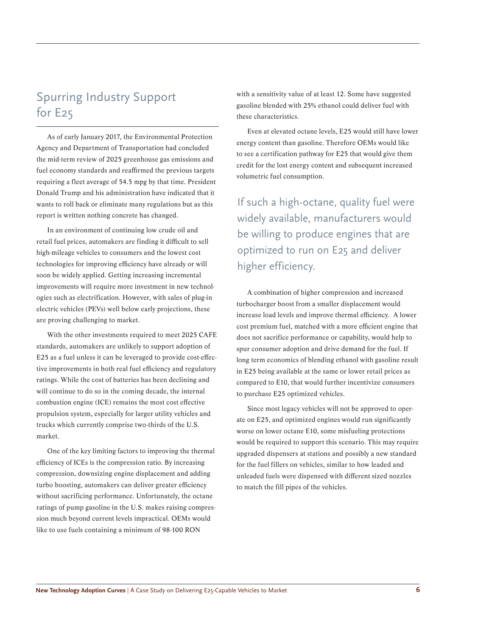### Spurring Industry Support for E25

As of early January 2017, the Environmental Protection Agency and Department of Transportation had concluded the mid-term review of 2025 greenhouse gas emissions and fuel economy standards and reaffirmed the previous targets requiring a fleet average of 54.5 mpg by that time. President Donald Trump and his administration have indicated that it wants to roll back or eliminate many regulations but as this report is written nothing concrete has changed.

In an environment of continuing low crude oil and retail fuel prices, automakers are finding it difficult to sell high-mileage vehicles to consumers and the lowest cost technologies for improving efficiency have already or will soon be widely applied. Getting increasing incremental improvements will require more investment in new technologies such as electrification. However, with sales of plug-in electric vehicles (PEVs) well below early projections, these are proving challenging to market.

With the other investments required to meet 2025 CAFE standards, automakers are unlikely to support adoption of E25 as a fuel unless it can be leveraged to provide cost-effective improvements in both real fuel efficiency and regulatory ratings. While the cost of batteries has been declining and will continue to do so in the coming decade, the internal combustion engine (ICE) remains the most cost effective propulsion system, especially for larger utility vehicles and trucks which currently comprise two-thirds of the U.S. market.

One of the key limiting factors to improving the thermal efficiency of ICEs is the compression ratio. By increasing compression, downsizing engine displacement and adding turbo boosting, automakers can deliver greater efficiency without sacrificing performance. Unfortunately, the octane ratings of pump gasoline in the U.S. makes raising compression much beyond current levels impractical. OEMs would like to use fuels containing a minimum of 98-100 RON

with a sensitivity value of at least 12. Some have suggested gasoline blended with 25% ethanol could deliver fuel with these characteristics.

Even at elevated octane levels, E25 would still have lower energy content than gasoline. Therefore OEMs would like to see a certification pathway for E25 that would give them credit for the lost energy content and subsequent increased volumetric fuel consumption.

If such a high-octane, quality fuel were widely available, manufacturers would be willing to produce engines that are optimized to run on E25 and deliver higher efficiency.

A combination of higher compression and increased turbocharger boost from a smaller displacement would increase load levels and improve thermal efficiency. A lower cost premium fuel, matched with a more efficient engine that does not sacrifice performance or capability, would help to spur consumer adoption and drive demand for the fuel. If long term economics of blending ethanol with gasoline result in E25 being available at the same or lower retail prices as compared to E10, that would further incentivize consumers to purchase E25 optimized vehicles.

Since most legacy vehicles will not be approved to operate on E25, and optimized engines would run significantly worse on lower octane E10, some misfueling protections would be required to support this scenario. This may require upgraded dispensers at stations and possibly a new standard for the fuel fillers on vehicles, similar to how leaded and unleaded fuels were dispensed with different sized nozzles to match the fill pipes of the vehicles.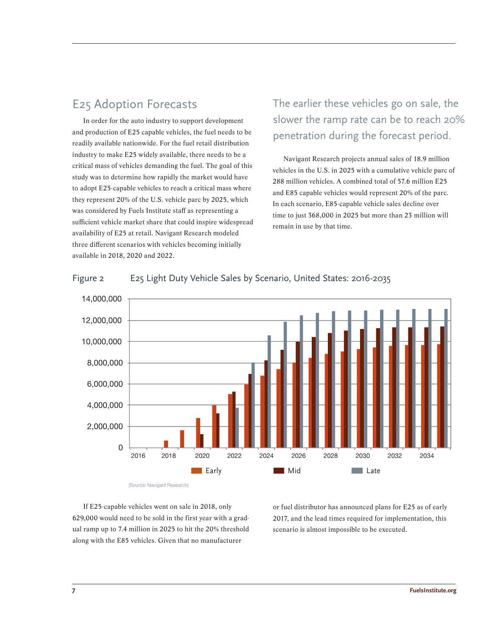#### E25 Adoption Forecasts

In order for the auto industry to support development and production of E25 capable vehicles, the fuel needs to be readily available nationwide. For the fuel retail distribution industry to make E25 widely available, there needs to be a critical mass of vehicles demanding the fuel. The goal of this study was to determine how rapidly the market would have to adopt E25-capable vehicles to reach a critical mass where they represent 20% of the U.S. vehicle parc by 2025, which was considered by Fuels Institute staff as representing a sufficient vehicle market share that could inspire widespread availability of E25 at retail. Navigant Research modeled three different scenarios with vehicles becoming initially available in 2018, 2020 and 2022.

## The earlier these vehicles go on sale, the slower the ramp rate can be to reach 20% penetration during the forecast period.

Navigant Research projects annual sales of 18.9 million vehicles in the U.S. in 2025 with a cumulative vehicle parc of 288 million vehicles. A combined total of 57.6 million E25 and E85 capable vehicles would represent 20% of the parc. In each scenario, E85-capable vehicle sales decline over time to just 368,000 in 2025 but more than 23 million will remain in use by that time.



#### Figure 2 E25 Light Duty Vehicle Sales by Scenario, United States: 2016-2035

(Source: Navigant Research)

or fuel distributor has announced plans for E25 as of early 2017, and the lead times required for implementation, this scenario is almost impossible to be executed.

If E25-capable vehicles went on sale in 2018, only 629,000 would need to be sold in the first year with a gradual ramp up to 7.4 million in 2025 to hit the 20% threshold along with the E85 vehicles. Given that no manufacturer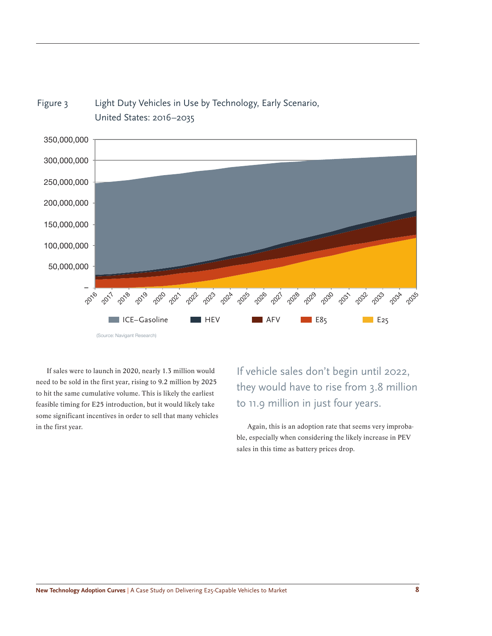

Figure 3 Light Duty Vehicles in Use by Technology, Early Scenario, United States: 2016–2035

If sales were to launch in 2020, nearly 1.3 million would need to be sold in the first year, rising to 9.2 million by 2025 to hit the same cumulative volume. This is likely the earliest feasible timing for E25 introduction, but it would likely take some significant incentives in order to sell that many vehicles in the first year. The first year. Again, this is an adoption rate that seems very improba-

If vehicle sales don't begin until 2022, they would have to rise from 3.8 million to 11.9 million in just four years.

ble, especially when considering the likely increase in PEV sales in this time as battery prices drop.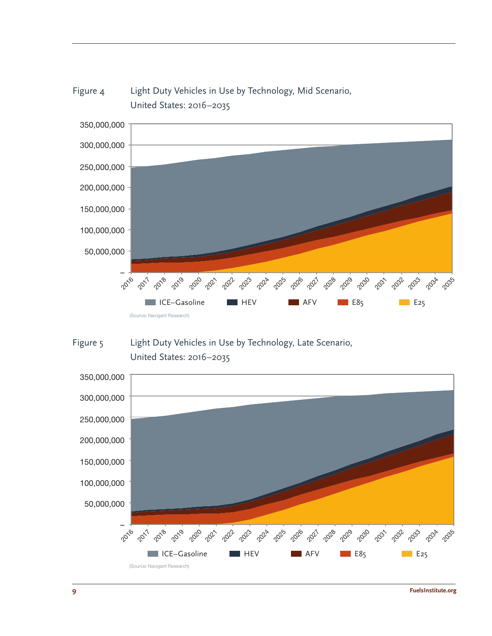

## Figure 4 Light Duty Vehicles in Use by Technology, Mid Scenario,



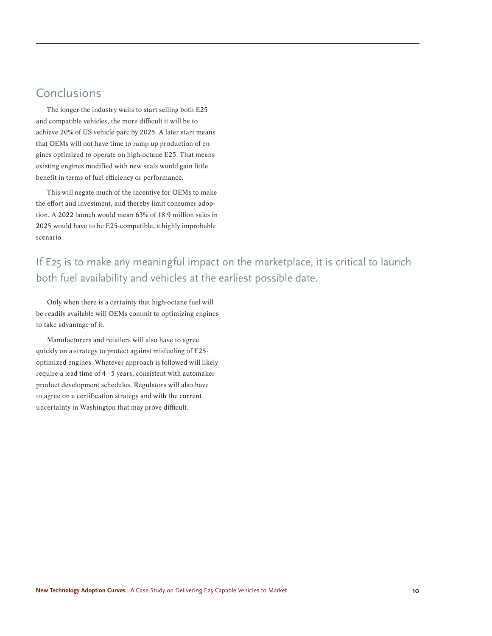#### **Conclusions**

The longer the industry waits to start selling both E25 and compatible vehicles, the more difficult it will be to achieve 20% of US vehicle parc by 2025. A later start means that OEMs will not have time to ramp up production of engines optimized to operate on high-octane E25. That means existing engines modified with new seals would gain little benefit in terms of fuel efficiency or performance.

This will negate much of the incentive for OEMs to make the effort and investment, and thereby limit consumer adoption. A 2022 launch would mean 63% of 18.9 million sales in 2025 would have to be E25-compatible, a highly improbable scenario.

If E25 is to make any meaningful impact on the marketplace, it is critical to launch both fuel availability and vehicles at the earliest possible date.

Only when there is a certainty that high-octane fuel will be readily available will OEMs commit to optimizing engines to take advantage of it.

Manufacturers and retailers will also have to agree quickly on a strategy to protect against misfueling of E25 optimized engines. Whatever approach is followed will likely require a lead time of 4 - 5 years, consistent with automaker product development schedules. Regulators will also have to agree on a certification strategy and with the current uncertainty in Washington that may prove difficult.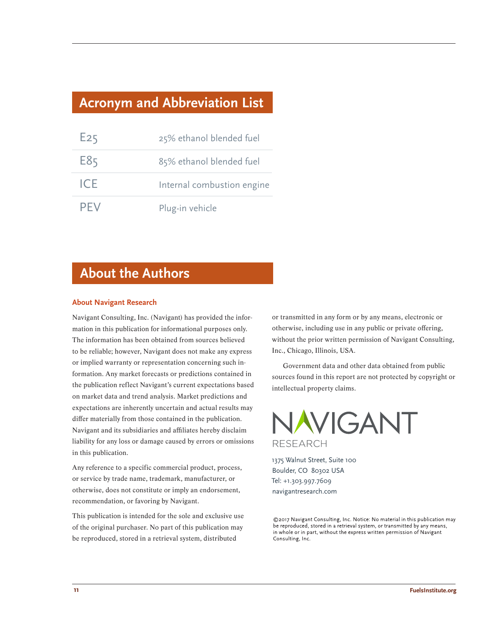## **Acronym and Abbreviation List**

| E25  | 25% ethanol blended fuel   |
|------|----------------------------|
| E85  | 85% ethanol blended fuel   |
| ICF. | Internal combustion engine |
| PFV  | Plug-in vehicle            |

## **About the Authors**

#### **About Navigant Research**

Navigant Consulting, Inc. (Navigant) has provided the information in this publication for informational purposes only. The information has been obtained from sources believed to be reliable; however, Navigant does not make any express or implied warranty or representation concerning such information. Any market forecasts or predictions contained in the publication reflect Navigant's current expectations based on market data and trend analysis. Market predictions and expectations are inherently uncertain and actual results may differ materially from those contained in the publication. Navigant and its subsidiaries and affiliates hereby disclaim liability for any loss or damage caused by errors or omissions in this publication.

Any reference to a specific commercial product, process, or service by trade name, trademark, manufacturer, or otherwise, does not constitute or imply an endorsement, recommendation, or favoring by Navigant.

This publication is intended for the sole and exclusive use of the original purchaser. No part of this publication may be reproduced, stored in a retrieval system, distributed

or transmitted in any form or by any means, electronic or otherwise, including use in any public or private offering, without the prior written permission of Navigant Consulting, Inc., Chicago, Illinois, USA.

Government data and other data obtained from public sources found in this report are not protected by copyright or intellectual property claims.

NAVIGANT **RESEARCH** 

1375 Walnut Street, Suite 100 Boulder, CO 80302 USA Tel: +1.303.997.7609 navigantresearch.com

©2017 Navigant Consulting, Inc. Notice: No material in this publication may be reproduced, stored in a retrieval system, or transmitted by any means, in whole or in part, without the express written permission of Navigant Consulting, Inc.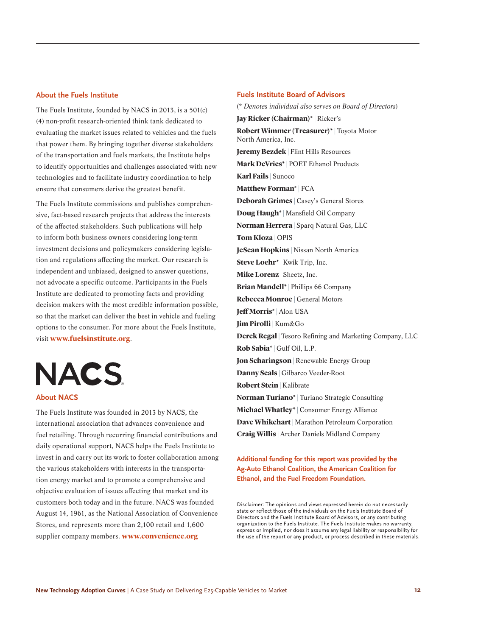#### **About the Fuels Institute**

The Fuels Institute, founded by NACS in 2013, is a 501(c) (4) non-profit research-oriented think tank dedicated to evaluating the market issues related to vehicles and the fuels that power them. By bringing together diverse stakeholders of the transportation and fuels markets, the Institute helps to identify opportunities and challenges associated with new technologies and to facilitate industry coordination to help ensure that consumers derive the greatest benefit.

The Fuels Institute commissions and publishes comprehensive, fact-based research projects that address the interests of the affected stakeholders. Such publications will help to inform both business owners considering long-term investment decisions and policymakers considering legislation and regulations affecting the market. Our research is independent and unbiased, designed to answer questions, not advocate a specific outcome. Participants in the Fuels Institute are dedicated to promoting facts and providing decision makers with the most credible information possible, so that the market can deliver the best in vehicle and fueling options to the consumer. For more about the Fuels Institute, visit **www.fuelsinstitute.org**.

**NACS** 

#### **About NACS**

The Fuels Institute was founded in 2013 by NACS, the international association that advances convenience and fuel retailing. Through recurring financial contributions and daily operational support, NACS helps the Fuels Institute to invest in and carry out its work to foster collaboration among the various stakeholders with interests in the transportation energy market and to promote a comprehensive and objective evaluation of issues affecting that market and its customers both today and in the future. NACS was founded August 14, 1961, as the National Association of Convenience Stores, and represents more than 2,100 retail and 1,600 supplier company members. **www.convenience.org**

#### **Fuels Institute Board of Advisors**

(\* *Denotes individual also serves on Board of Directors*) **Jay Ricker (Chairman)\* |** Ricker's **Robert Wimmer (Treasurer)\* |** Toyota Motor North America, Inc. **Jeremy Bezdek | Flint Hills Resources Mark DeVries\* |** POET Ethanol Products **Karl Fails |** Sunoco **Matthew Forman\* |** FCA **Deborah Grimes | Casey's General Stores Doug Haugh\* |** Mansfield Oil Company **Norman Herrera** | Sparq Natural Gas, LLC **Tom Kloza | OPIS JeSean Hopkins |** Nissan North America **Steve Loehr\* |** Kwik Trip, Inc. **Mike Lorenz |** Sheetz, Inc. **Brian Mandell\* |** Phillips 66 Company **Rebecca Monroe | General Motors Jeff Morris\* |** Alon USA **Jim Pirolli |** Kum&Go **Derek Regal |** Tesoro Refining and Marketing Company, LLC **Rob Sabia\* |** Gulf Oil, L.P. **Jon Scharingson** | Renewable Energy Group **Danny Seals |** Gilbarco Veeder-Root **Robert Stein |** Kalibrate **Norman Turiano\* |** Turiano Strategic Consulting **Michael Whatley\*** | Consumer Energy Alliance **Dave Whikehart |** Marathon Petroleum Corporation **Craig Willis |** Archer Daniels Midland Company

#### **Additional funding for this report was provided by the Ag-Auto Ethanol Coalition, the American Coalition for Ethanol, and the Fuel Freedom Foundation.**

Disclaimer: The opinions and views expressed herein do not necessarily state or reflect those of the individuals on the Fuels Institute Board of Directors and the Fuels Institute Board of Advisors, or any contributing organization to the Fuels Institute. The Fuels Institute makes no warranty, express or implied, nor does it assume any legal liability or responsibility for the use of the report or any product, or process described in these materials.